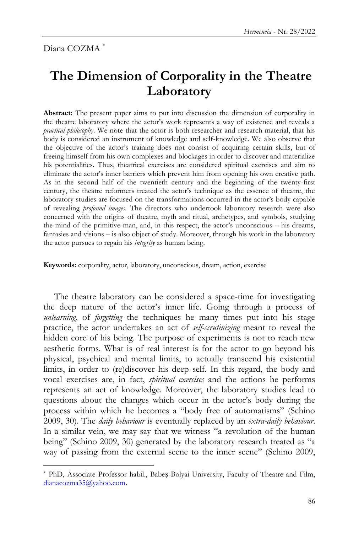$\overline{a}$ 

## **The Dimension of Corporality in the Theatre Laboratory**

**Abstract:** The present paper aims to put into discussion the dimension of corporality in the theatre laboratory where the actor"s work represents a way of existence and reveals a *practical philosophy*. We note that the actor is both researcher and research material, that his body is considered an instrument of knowledge and self-knowledge. We also observe that the objective of the actor"s training does not consist of acquiring certain skills, but of freeing himself from his own complexes and blockages in order to discover and materialize his potentialities. Thus, theatrical exercises are considered spiritual exercises and aim to eliminate the actor"s inner barriers which prevent him from opening his own creative path. As in the second half of the twentieth century and the beginning of the twenty-first century, the theatre reformers treated the actor"s technique as the essence of theatre, the laboratory studies are focused on the transformations occurred in the actor's body capable of revealing *profound images*. The directors who undertook laboratory research were also concerned with the origins of theatre, myth and ritual, archetypes, and symbols, studying the mind of the primitive man, and, in this respect, the actor"s unconscious – his dreams, fantasies and visions – is also object of study. Moreover, through his work in the laboratory the actor pursues to regain his *integrity* as human being.

**Keywords:** corporality, actor, laboratory, unconscious, dream, action, exercise

The theatre laboratory can be considered a space-time for investigating the deep nature of the actor"s inner life. Going through a process of *unlearning*, of *forgetting* the techniques he many times put into his stage practice, the actor undertakes an act of *self-scrutinizing* meant to reveal the hidden core of his being. The purpose of experiments is not to reach new aesthetic forms. What is of real interest is for the actor to go beyond his physical, psychical and mental limits, to actually transcend his existential limits, in order to (re)discover his deep self. In this regard, the body and vocal exercises are, in fact, *spiritual exercises* and the actions he performs represents an act of knowledge. Moreover, the laboratory studies lead to questions about the changes which occur in the actor's body during the process within which he becomes a "body free of automatisms" (Schino 2009, 30). The *daily behaviour* is eventually replaced by an *extra-daily behaviour*. In a similar vein, we may say that we witness "a revolution of the human being" (Schino 2009, 30) generated by the laboratory research treated as "a way of passing from the external scene to the inner scene" (Schino 2009,

<sup>\*</sup> PhD, Associate Professor habil., Babeș-Bolyai University, Faculty of Theatre and Film, [dianacozma35@yahoo.com.](mailto:dianacozma35@yahoo.com)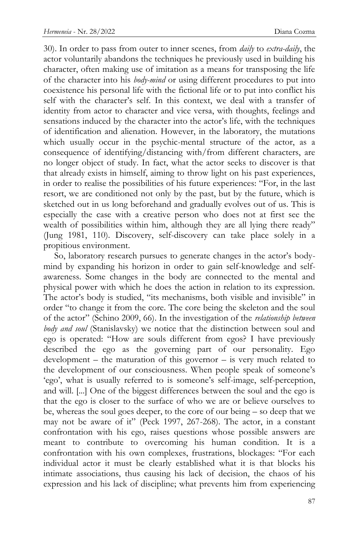30). In order to pass from outer to inner scenes, from *daily* to *extra-daily*, the actor voluntarily abandons the techniques he previously used in building his character, often making use of imitation as a means for transposing the life of the character into his *body-mind* or using different procedures to put into coexistence his personal life with the fictional life or to put into conflict his self with the character's self. In this context, we deal with a transfer of identity from actor to character and vice versa, with thoughts, feelings and sensations induced by the character into the actor's life, with the techniques of identification and alienation. However, in the laboratory, the mutations which usually occur in the psychic-mental structure of the actor, as a consequence of identifying/distancing with/from different characters, are no longer object of study. In fact, what the actor seeks to discover is that that already exists in himself, aiming to throw light on his past experiences, in order to realise the possibilities of his future experiences: "For, in the last resort, we are conditioned not only by the past, but by the future, which is sketched out in us long beforehand and gradually evolves out of us. This is especially the case with a creative person who does not at first see the wealth of possibilities within him, although they are all lying there ready" (Jung 1981, 110). Discovery, self-discovery can take place solely in a propitious environment.

So, laboratory research pursues to generate changes in the actor's bodymind by expanding his horizon in order to gain self-knowledge and selfawareness. Some changes in the body are connected to the mental and physical power with which he does the action in relation to its expression. The actor's body is studied, "its mechanisms, both visible and invisible" in order "to change it from the core. The core being the skeleton and the soul of the actor" (Schino 2009, 66). In the investigation of the *relationship between body and soul* (Stanislavsky) we notice that the distinction between soul and ego is operated: "How are souls different from egos? I have previously described the ego as the governing part of our personality. Ego development – the maturation of this governor – is very much related to the development of our consciousness. When people speak of someone"s 'ego', what is usually referred to is someone's self-image, self-perception, and will. [...] One of the biggest differences between the soul and the ego is that the ego is closer to the surface of who we are or believe ourselves to be, whereas the soul goes deeper, to the core of our being – so deep that we may not be aware of it" (Peck 1997, 267-268). The actor, in a constant confrontation with his ego, raises questions whose possible answers are meant to contribute to overcoming his human condition. It is a confrontation with his own complexes, frustrations, blockages: "For each individual actor it must be clearly established what it is that blocks his intimate associations, thus causing his lack of decision, the chaos of his expression and his lack of discipline; what prevents him from experiencing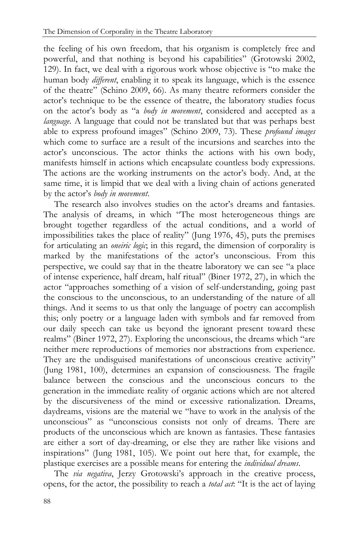the feeling of his own freedom, that his organism is completely free and powerful, and that nothing is beyond his capabilities" (Grotowski 2002, 129). In fact, we deal with a rigorous work whose objective is "to make the human body *different*, enabling it to speak its language, which is the essence of the theatre" (Schino 2009, 66). As many theatre reformers consider the actor"s technique to be the essence of theatre, the laboratory studies focus on the actor"s body as "a *body in movement*, considered and accepted as a *language*. A language that could not be translated but that was perhaps best able to express profound images" (Schino 2009, 73). These *profound images* which come to surface are a result of the incursions and searches into the actor"s unconscious. The actor thinks the actions with his own body, manifests himself in actions which encapsulate countless body expressions. The actions are the working instruments on the actor's body. And, at the same time, it is limpid that we deal with a living chain of actions generated by the actor"s *body in movement*.

The research also involves studies on the actor's dreams and fantasies. The analysis of dreams, in which "The most heterogeneous things are brought together regardless of the actual conditions, and a world of impossibilities takes the place of reality" (Jung 1976, 45), puts the premises for articulating an *oneiric logic*; in this regard, the dimension of corporality is marked by the manifestations of the actor's unconscious. From this perspective, we could say that in the theatre laboratory we can see "a place of intense experience, half dream, half ritual" (Biner 1972, 27), in which the actor "approaches something of a vision of self-understanding, going past the conscious to the unconscious, to an understanding of the nature of all things. And it seems to us that only the language of poetry can accomplish this; only poetry or a language laden with symbols and far removed from our daily speech can take us beyond the ignorant present toward these realms" (Biner 1972, 27). Exploring the unconscious, the dreams which "are neither mere reproductions of memories nor abstractions from experience. They are the undisguised manifestations of unconscious creative activity" (Jung 1981, 100), determines an expansion of consciousness. The fragile balance between the conscious and the unconscious concurs to the generation in the immediate reality of organic actions which are not altered by the discursiveness of the mind or excessive rationalization. Dreams, daydreams, visions are the material we "have to work in the analysis of the unconscious" as "unconscious consists not only of dreams. There are products of the unconscious which are known as fantasies. These fantasies are either a sort of day-dreaming, or else they are rather like visions and inspirations" (Jung 1981, 105). We point out here that, for example, the plastique exercises are a possible means for entering the *individual dreams*.

The *via negativa*, Jerzy Grotowski's approach in the creative process, opens, for the actor, the possibility to reach a *total act*: "It is the act of laying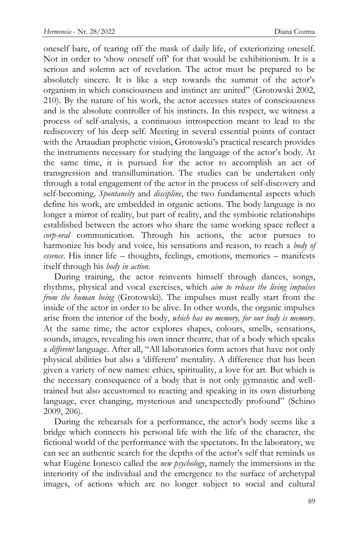oneself bare, of tearing off the mask of daily life, of exteriorizing oneself. Not in order to "show oneself off" for that would be exhibitionism. It is a serious and solemn act of revelation. The actor must be prepared to be absolutely sincere. It is like a step towards the summit of the actor's organism in which consciousness and instinct are united" (Grotowski 2002, 210). By the nature of his work, the actor accesses states of consciousness and is the absolute controller of his instincts. In this respect, we witness a process of self-analysis, a continuous introspection meant to lead to the rediscovery of his deep self. Meeting in several essential points of contact with the Artaudian prophetic vision, Grotowski's practical research provides the instruments necessary for studying the language of the actor's body. At the same time, it is pursued for the actor to accomplish an act of transgression and transillumination. The studies can be undertaken only through a total engagement of the actor in the process of self-discovery and self-becoming. *Spontaneity* and *discipline*, the two fundamental aspects which define his work, are embedded in organic actions. The body language is no longer a mirror of reality, but part of reality, and the symbiotic relationships established between the actors who share the same working space reflect a *corp-oral* communication. Through his actions, the actor pursues to harmonize his body and voice, his sensations and reason, to reach a *body of essence*. His inner life – thoughts, feelings, emotions, memories – manifests itself through his *body in action*.

During training, the actor reinvents himself through dances, songs, rhythms, physical and vocal exercises, which *aim to release the living impulses from the human being* (Grotowski). The impulses must really start from the inside of the actor in order to be alive. In other words, the organic impulses arise from the interior of the body, *which has no memory, for our body is memory*. At the same time, the actor explores shapes, colours, smells, sensations, sounds, images, revealing his own inner theatre, that of a body which speaks a *different* language. After all, "All laboratories form actors that have not only physical abilities but also a "different" mentality. A difference that has been given a variety of new names: ethics, spirituality, a love for art. But which is the necessary consequence of a body that is not only gymnastic and welltrained but also accustomed to reacting and speaking in its own disturbing language, ever changing, mysterious and unexpectedly profound" (Schino 2009, 206).

During the rehearsals for a performance, the actor's body seems like a bridge which connects his personal life with the life of the character, the fictional world of the performance with the spectators. In the laboratory, we can see an authentic search for the depths of the actor's self that reminds us what Eugène Ionesco called the *new psychology*, namely the immersions in the interiority of the individual and the emergence to the surface of archetypal images, of actions which are no longer subject to social and cultural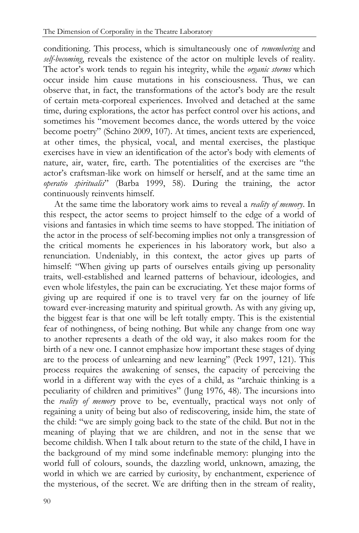conditioning. This process, which is simultaneously one of *remembering* and *self-becoming*, reveals the existence of the actor on multiple levels of reality. The actor"s work tends to regain his integrity, while the *organic storms* which occur inside him cause mutations in his consciousness. Thus, we can observe that, in fact, the transformations of the actor"s body are the result of certain meta-corporeal experiences. Involved and detached at the same time, during explorations, the actor has perfect control over his actions, and sometimes his "movement becomes dance, the words uttered by the voice become poetry" (Schino 2009, 107). At times, ancient texts are experienced, at other times, the physical, vocal, and mental exercises, the plastique exercises have in view an identification of the actor's body with elements of nature, air, water, fire, earth. The potentialities of the exercises are "the actor"s craftsman-like work on himself or herself, and at the same time an *operatio spiritualis*" (Barba 1999, 58). During the training, the actor continuously reinvents himself.

At the same time the laboratory work aims to reveal a *reality of memory*. In this respect, the actor seems to project himself to the edge of a world of visions and fantasies in which time seems to have stopped. The initiation of the actor in the process of self-becoming implies not only a transgression of the critical moments he experiences in his laboratory work, but also a renunciation. Undeniably, in this context, the actor gives up parts of himself: "When giving up parts of ourselves entails giving up personality traits, well-established and learned patterns of behaviour, ideologies, and even whole lifestyles, the pain can be excruciating. Yet these major forms of giving up are required if one is to travel very far on the journey of life toward ever-increasing maturity and spiritual growth. As with any giving up, the biggest fear is that one will be left totally empty. This is the existential fear of nothingness, of being nothing. But while any change from one way to another represents a death of the old way, it also makes room for the birth of a new one. I cannot emphasize how important these stages of dying are to the process of unlearning and new learning" (Peck 1997, 121). This process requires the awakening of senses, the capacity of perceiving the world in a different way with the eyes of a child, as "archaic thinking is a peculiarity of children and primitives" (Jung 1976, 48). The incursions into the *reality of memory* prove to be, eventually, practical ways not only of regaining a unity of being but also of rediscovering, inside him, the state of the child: "we are simply going back to the state of the child. But not in the meaning of playing that we are children, and not in the sense that we become childish. When I talk about return to the state of the child, I have in the background of my mind some indefinable memory: plunging into the world full of colours, sounds, the dazzling world, unknown, amazing, the world in which we are carried by curiosity, by enchantment, experience of the mysterious, of the secret. We are drifting then in the stream of reality,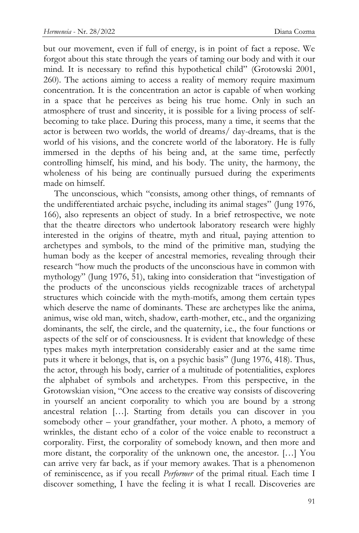but our movement, even if full of energy, is in point of fact a repose. We forgot about this state through the years of taming our body and with it our mind. It is necessary to refind this hypothetical child" (Grotowski 2001, 260). The actions aiming to access a reality of memory require maximum concentration. It is the concentration an actor is capable of when working in a space that he perceives as being his true home. Only in such an atmosphere of trust and sincerity, it is possible for a living process of selfbecoming to take place. During this process, many a time, it seems that the actor is between two worlds, the world of dreams/ day-dreams, that is the world of his visions, and the concrete world of the laboratory. He is fully immersed in the depths of his being and, at the same time, perfectly controlling himself, his mind, and his body. The unity, the harmony, the wholeness of his being are continually pursued during the experiments made on himself.

The unconscious, which "consists, among other things, of remnants of the undifferentiated archaic psyche, including its animal stages" (Jung 1976, 166), also represents an object of study. In a brief retrospective, we note that the theatre directors who undertook laboratory research were highly interested in the origins of theatre, myth and ritual, paying attention to archetypes and symbols, to the mind of the primitive man, studying the human body as the keeper of ancestral memories, revealing through their research "how much the products of the unconscious have in common with mythology" (Jung 1976, 51), taking into consideration that "investigation of the products of the unconscious yields recognizable traces of archetypal structures which coincide with the myth-motifs, among them certain types which deserve the name of dominants. These are archetypes like the anima, animus, wise old man, witch, shadow, earth-mother, etc., and the organizing dominants, the self, the circle, and the quaternity, i.e., the four functions or aspects of the self or of consciousness. It is evident that knowledge of these types makes myth interpretation considerably easier and at the same time puts it where it belongs, that is, on a psychic basis" (Jung 1976, 418). Thus, the actor, through his body, carrier of a multitude of potentialities, explores the alphabet of symbols and archetypes. From this perspective, in the Grotowskian vision, "One access to the creative way consists of discovering in yourself an ancient corporality to which you are bound by a strong ancestral relation […]. Starting from details you can discover in you somebody other – your grandfather, your mother. A photo, a memory of wrinkles, the distant echo of a color of the voice enable to reconstruct a corporality. First, the corporality of somebody known, and then more and more distant, the corporality of the unknown one, the ancestor. […] You can arrive very far back, as if your memory awakes. That is a phenomenon of reminiscence, as if you recall *Performer* of the primal ritual. Each time I discover something, I have the feeling it is what I recall. Discoveries are